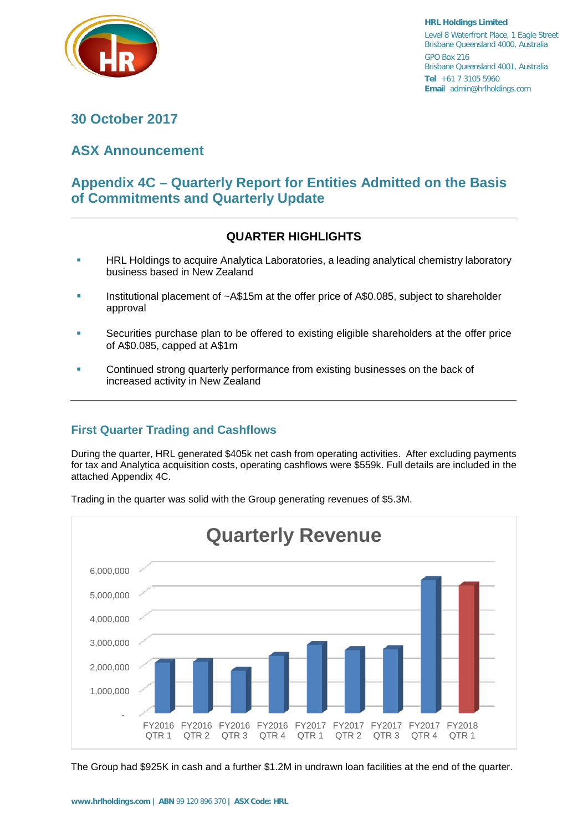

**HRL Holdings Limited** Level 8 Waterfront Place, 1 Eagle Street Brisbane Queensland 4000, Australia GPO Box 216 Brisbane Queensland 4001, Australia **Tel** +61 7 3105 5960 **Emai**l admin@hrlholdings.com

# **30 October 2017**

# **ASX Announcement**

# **Appendix 4C – Quarterly Report for Entities Admitted on the Basis of Commitments and Quarterly Update**

# **QUARTER HIGHLIGHTS**

- HRL Holdings to acquire Analytica Laboratories, a leading analytical chemistry laboratory business based in New Zealand
- Institutional placement of ~A\$15m at the offer price of A\$0.085, subject to shareholder approval
- Securities purchase plan to be offered to existing eligible shareholders at the offer price of A\$0.085, capped at A\$1m
- Continued strong quarterly performance from existing businesses on the back of increased activity in New Zealand

# **First Quarter Trading and Cashflows**

During the quarter, HRL generated \$405k net cash from operating activities. After excluding payments for tax and Analytica acquisition costs, operating cashflows were \$559k. Full details are included in the attached Appendix 4C.



Trading in the quarter was solid with the Group generating revenues of \$5.3M.

The Group had \$925K in cash and a further \$1.2M in undrawn loan facilities at the end of the quarter.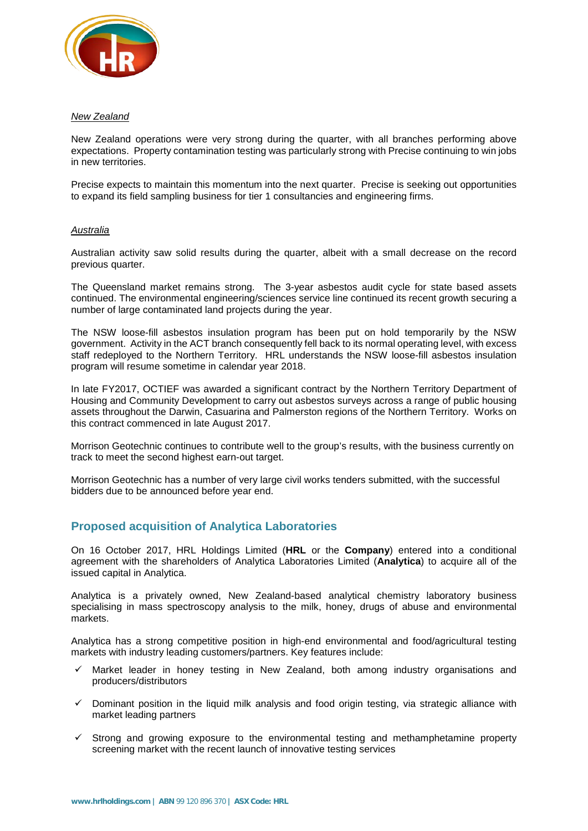

#### *New Zealand*

New Zealand operations were very strong during the quarter, with all branches performing above expectations. Property contamination testing was particularly strong with Precise continuing to win jobs in new territories.

Precise expects to maintain this momentum into the next quarter. Precise is seeking out opportunities to expand its field sampling business for tier 1 consultancies and engineering firms.

#### *Australia*

Australian activity saw solid results during the quarter, albeit with a small decrease on the record previous quarter.

The Queensland market remains strong. The 3-year asbestos audit cycle for state based assets continued. The environmental engineering/sciences service line continued its recent growth securing a number of large contaminated land projects during the year.

The NSW loose-fill asbestos insulation program has been put on hold temporarily by the NSW government. Activity in the ACT branch consequently fell back to its normal operating level, with excess staff redeployed to the Northern Territory. HRL understands the NSW loose-fill asbestos insulation program will resume sometime in calendar year 2018.

In late FY2017, OCTIEF was awarded a significant contract by the Northern Territory Department of Housing and Community Development to carry out asbestos surveys across a range of public housing assets throughout the Darwin, Casuarina and Palmerston regions of the Northern Territory. Works on this contract commenced in late August 2017.

Morrison Geotechnic continues to contribute well to the group's results, with the business currently on track to meet the second highest earn-out target.

Morrison Geotechnic has a number of very large civil works tenders submitted, with the successful bidders due to be announced before year end.

### **Proposed acquisition of Analytica Laboratories**

On 16 October 2017, HRL Holdings Limited (**HRL** or the **Company**) entered into a conditional agreement with the shareholders of Analytica Laboratories Limited (**Analytica**) to acquire all of the issued capital in Analytica.

Analytica is a privately owned, New Zealand-based analytical chemistry laboratory business specialising in mass spectroscopy analysis to the milk, honey, drugs of abuse and environmental markets.

Analytica has a strong competitive position in high-end environmental and food/agricultural testing markets with industry leading customers/partners. Key features include:

- $\checkmark$  Market leader in honey testing in New Zealand, both among industry organisations and producers/distributors
- $\checkmark$  Dominant position in the liquid milk analysis and food origin testing, via strategic alliance with market leading partners
- $\checkmark$  Strong and growing exposure to the environmental testing and methamphetamine property screening market with the recent launch of innovative testing services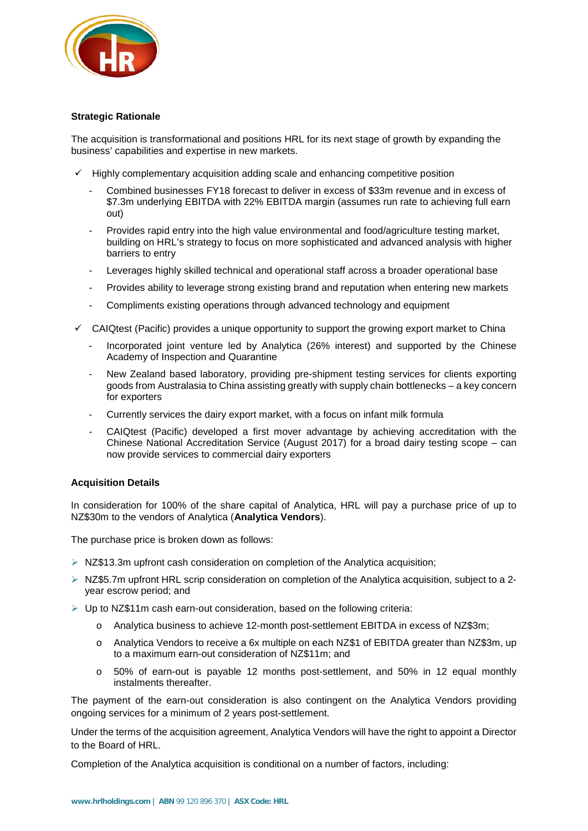

#### **Strategic Rationale**

The acquisition is transformational and positions HRL for its next stage of growth by expanding the business' capabilities and expertise in new markets.

- $\checkmark$  Highly complementary acquisition adding scale and enhancing competitive position
	- Combined businesses FY18 forecast to deliver in excess of \$33m revenue and in excess of \$7.3m underlying EBITDA with 22% EBITDA margin (assumes run rate to achieving full earn out)
	- Provides rapid entry into the high value environmental and food/agriculture testing market, building on HRL's strategy to focus on more sophisticated and advanced analysis with higher barriers to entry
	- Leverages highly skilled technical and operational staff across a broader operational base
	- Provides ability to leverage strong existing brand and reputation when entering new markets
	- Compliments existing operations through advanced technology and equipment
- $\checkmark$  CAIQtest (Pacific) provides a unique opportunity to support the growing export market to China
	- Incorporated joint venture led by Analytica (26% interest) and supported by the Chinese Academy of Inspection and Quarantine
	- New Zealand based laboratory, providing pre-shipment testing services for clients exporting goods from Australasia to China assisting greatly with supply chain bottlenecks – a key concern for exporters
	- Currently services the dairy export market, with a focus on infant milk formula
	- CAIQtest (Pacific) developed a first mover advantage by achieving accreditation with the Chinese National Accreditation Service (August 2017) for a broad dairy testing scope – can now provide services to commercial dairy exporters

#### **Acquisition Details**

In consideration for 100% of the share capital of Analytica, HRL will pay a purchase price of up to NZ\$30m to the vendors of Analytica (**Analytica Vendors**).

The purchase price is broken down as follows:

- $\triangleright$  NZ\$13.3m upfront cash consideration on completion of the Analytica acquisition;
- $\triangleright$  NZ\$5.7m upfront HRL scrip consideration on completion of the Analytica acquisition, subject to a 2year escrow period; and
- $\triangleright$  Up to NZ\$11m cash earn-out consideration, based on the following criteria:
	- o Analytica business to achieve 12-month post-settlement EBITDA in excess of NZ\$3m;
	- o Analytica Vendors to receive a 6x multiple on each NZ\$1 of EBITDA greater than NZ\$3m, up to a maximum earn-out consideration of NZ\$11m; and
	- o 50% of earn-out is payable 12 months post-settlement, and 50% in 12 equal monthly instalments thereafter.

The payment of the earn-out consideration is also contingent on the Analytica Vendors providing ongoing services for a minimum of 2 years post-settlement.

Under the terms of the acquisition agreement, Analytica Vendors will have the right to appoint a Director to the Board of HRL.

Completion of the Analytica acquisition is conditional on a number of factors, including: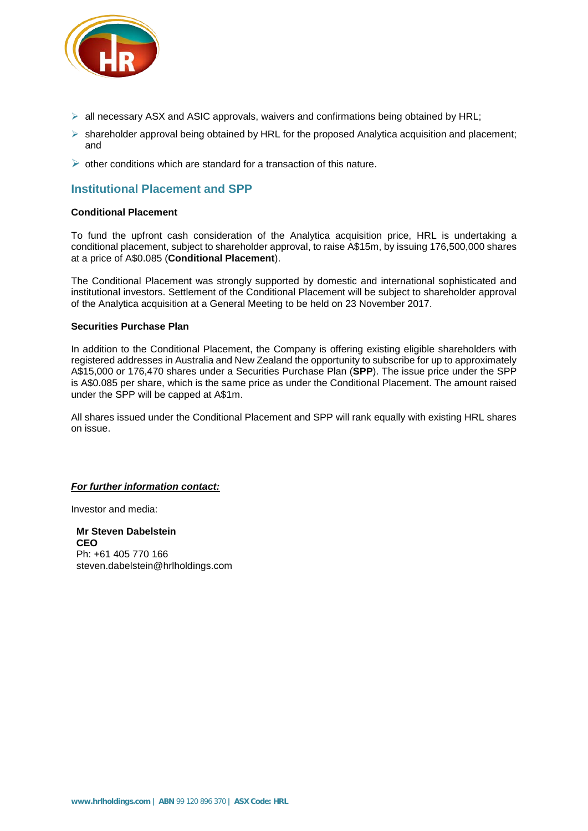

- $\triangleright$  all necessary ASX and ASIC approvals, waivers and confirmations being obtained by HRL;
- $\triangleright$  shareholder approval being obtained by HRL for the proposed Analytica acquisition and placement; and
- $\triangleright$  other conditions which are standard for a transaction of this nature.

## **Institutional Placement and SPP**

#### **Conditional Placement**

To fund the upfront cash consideration of the Analytica acquisition price, HRL is undertaking a conditional placement, subject to shareholder approval, to raise A\$15m, by issuing 176,500,000 shares at a price of A\$0.085 (**Conditional Placement**).

The Conditional Placement was strongly supported by domestic and international sophisticated and institutional investors. Settlement of the Conditional Placement will be subject to shareholder approval of the Analytica acquisition at a General Meeting to be held on 23 November 2017.

#### **Securities Purchase Plan**

In addition to the Conditional Placement, the Company is offering existing eligible shareholders with registered addresses in Australia and New Zealand the opportunity to subscribe for up to approximately A\$15,000 or 176,470 shares under a Securities Purchase Plan (**SPP**). The issue price under the SPP is A\$0.085 per share, which is the same price as under the Conditional Placement. The amount raised under the SPP will be capped at A\$1m.

All shares issued under the Conditional Placement and SPP will rank equally with existing HRL shares on issue.

#### *For further information contact:*

Investor and media:

**Mr Steven Dabelstein CEO** Ph: +61 405 770 166 steven.dabelstein@hrlholdings.com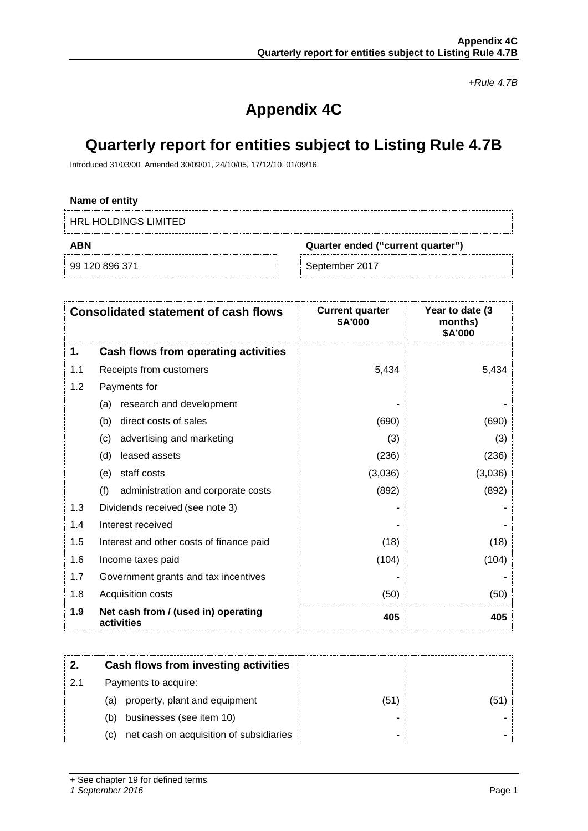*+Rule 4.7B*

# **Appendix 4C**

# **Quarterly report for entities subject to Listing Rule 4.7B**

Introduced 31/03/00 Amended 30/09/01, 24/10/05, 17/12/10, 01/09/16

### **Name of entity**

HRL HOLDINGS LIMITED

**ABN Quarter ended ("current quarter")**

99 120 896 371 September 2017

|     | <b>Consolidated statement of cash flows</b>       | <b>Current quarter</b><br>\$A'000 | Year to date (3)<br>months)<br>\$A'000 |
|-----|---------------------------------------------------|-----------------------------------|----------------------------------------|
| 1.  | Cash flows from operating activities              |                                   |                                        |
| 1.1 | Receipts from customers                           | 5,434                             | 5,434                                  |
| 1.2 | Payments for                                      |                                   |                                        |
|     | research and development<br>(a)                   |                                   |                                        |
|     | (b)<br>direct costs of sales                      | (690)                             | (690)                                  |
|     | advertising and marketing<br>(c)                  | (3)                               | (3)                                    |
|     | leased assets<br>(d)                              | (236)                             | (236)                                  |
|     | staff costs<br>(e)                                | (3,036)                           | (3,036)                                |
|     | (f)<br>administration and corporate costs         | (892)                             | (892)                                  |
| 1.3 | Dividends received (see note 3)                   |                                   |                                        |
| 1.4 | Interest received                                 |                                   |                                        |
| 1.5 | Interest and other costs of finance paid          | (18)                              | (18)                                   |
| 1.6 | Income taxes paid                                 | (104)                             | (104)                                  |
| 1.7 | Government grants and tax incentives              |                                   |                                        |
| 1.8 | Acquisition costs                                 | (50)                              | (50)                                   |
| 1.9 | Net cash from / (used in) operating<br>activities | 405                               | 405                                    |

|    | Cash flows from investing activities           |     |      |
|----|------------------------------------------------|-----|------|
| 21 | Payments to acquire:                           |     |      |
|    | property, plant and equipment<br>(a)           | (51 | (51) |
|    | businesses (see item 10)<br>(b)                |     |      |
|    | net cash on acquisition of subsidiaries<br>(C) |     |      |

#### *1 September 2016* Page 1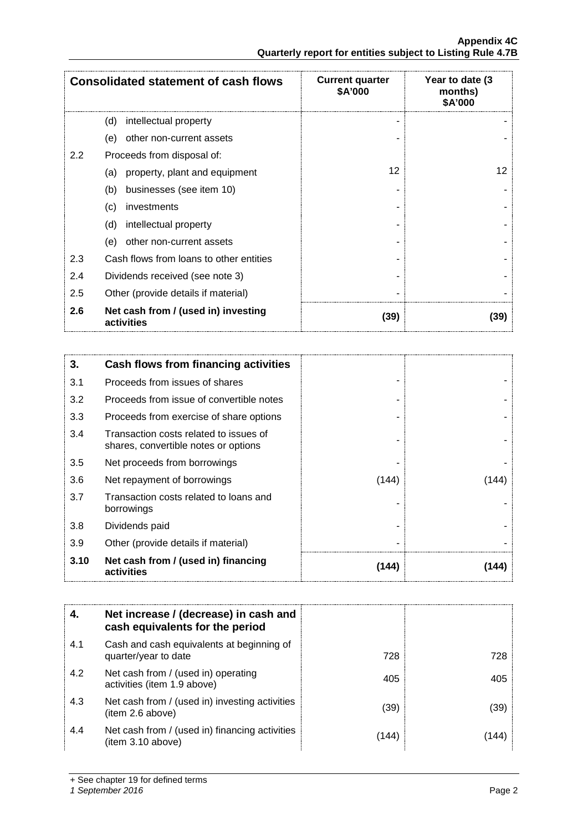|     | <b>Consolidated statement of cash flows</b>       | <b>Current quarter</b><br>\$A'000 | Year to date (3<br>months)<br>\$A'000 |
|-----|---------------------------------------------------|-----------------------------------|---------------------------------------|
|     | (d)<br>intellectual property                      |                                   |                                       |
|     | other non-current assets<br>(e)                   |                                   |                                       |
| 2.2 | Proceeds from disposal of:                        |                                   |                                       |
|     | property, plant and equipment<br>(a)              | 12                                | 12                                    |
|     | businesses (see item 10)<br>(b)                   |                                   |                                       |
|     | (c)<br>investments                                |                                   |                                       |
|     | (d)<br>intellectual property                      |                                   |                                       |
|     | (e)<br>other non-current assets                   |                                   |                                       |
| 2.3 | Cash flows from loans to other entities           |                                   |                                       |
| 2.4 | Dividends received (see note 3)                   |                                   |                                       |
| 2.5 | Other (provide details if material)               |                                   |                                       |
| 2.6 | Net cash from / (used in) investing<br>activities | (39)                              | (39)                                  |

| 3.   | Cash flows from financing activities                                           |       |       |
|------|--------------------------------------------------------------------------------|-------|-------|
| 3.1  | Proceeds from issues of shares                                                 |       |       |
| 3.2  | Proceeds from issue of convertible notes                                       |       |       |
| 3.3  | Proceeds from exercise of share options                                        |       |       |
| 3.4  | Transaction costs related to issues of<br>shares, convertible notes or options |       |       |
| 3.5  | Net proceeds from borrowings                                                   |       |       |
| 3.6  | Net repayment of borrowings                                                    | (144) | [144] |
| 3.7  | Transaction costs related to loans and<br>borrowings                           |       |       |
| 3.8  | Dividends paid                                                                 |       |       |
| 3.9  | Other (provide details if material)                                            |       |       |
| 3.10 | Net cash from / (used in) financing<br>activities                              | (144) | [144] |

| 4.  | Net increase / (decrease) in cash and<br>cash equivalents for the period |       |      |
|-----|--------------------------------------------------------------------------|-------|------|
| 4.1 | Cash and cash equivalents at beginning of<br>quarter/year to date        | 728   | 728  |
| 4.2 | Net cash from / (used in) operating<br>activities (item 1.9 above)       | 405   | 405  |
| 4.3 | Net cash from / (used in) investing activities<br>(item 2.6 above)       | (39)  | (39) |
| 4.4 | Net cash from / (used in) financing activities<br>(item 3.10 above)      | (144) | 144  |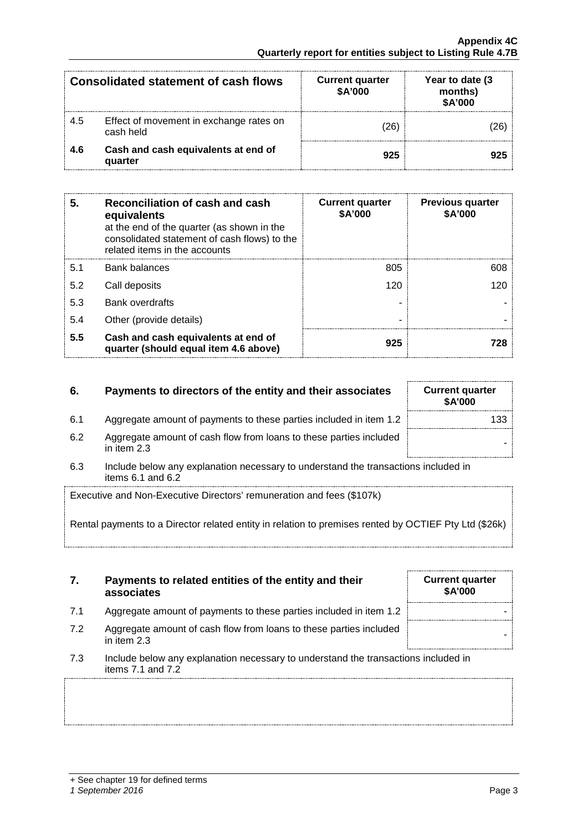| Consolidated statement of cash flows |                                                      | <b>Current quarter</b><br>\$A'000 | Year to date (3<br>months)<br>\$A'000 |
|--------------------------------------|------------------------------------------------------|-----------------------------------|---------------------------------------|
| 4.5                                  | Effect of movement in exchange rates on<br>cash held | 26                                |                                       |
| 4.6                                  | Cash and cash equivalents at end of<br>quarter       | 925                               | 925                                   |

| 5   | Reconciliation of cash and cash<br>equivalents<br>at the end of the quarter (as shown in the<br>consolidated statement of cash flows) to the<br>related items in the accounts | <b>Current quarter</b><br><b>\$A'000</b> | <b>Previous quarter</b><br>\$A'000 |
|-----|-------------------------------------------------------------------------------------------------------------------------------------------------------------------------------|------------------------------------------|------------------------------------|
| 5.1 | <b>Bank balances</b>                                                                                                                                                          | 805                                      | 608                                |
| 5.2 | Call deposits                                                                                                                                                                 | 120                                      |                                    |
| 5.3 | <b>Bank overdrafts</b>                                                                                                                                                        |                                          |                                    |
| 5.4 | Other (provide details)                                                                                                                                                       |                                          |                                    |
| 5.5 | Cash and cash equivalents at end of<br>quarter (should equal item 4.6 above)                                                                                                  | 925                                      |                                    |

# **6.** Payments to directors of the entity and their associates Current quarter

- 6.1 Aggregate amount of payments to these parties included in item 1.2 133
- 6.2 Aggregate amount of cash flow from loans to these parties included in them 2.3
- 6.3 Include below any explanation necessary to understand the transactions included in items 6.1 and 6.2

Executive and Non-Executive Directors' remuneration and fees (\$107k)

Rental payments to a Director related entity in relation to premises rented by O

| 7. | Payments to related entities of the entity and their |
|----|------------------------------------------------------|
|    | associates                                           |

- 7.1 Aggregate amount of payments to these parties included in item 1.2
- 7.2 Aggregate amount of cash flow from loans to these parties included in them 2.3
- 7.3 Include below any explanation necessary to understand the transactions included in items 7.1 and 7.2

| <b>Current quarter</b><br><b>\$A'000</b> |
|------------------------------------------|
|                                          |
| )CTIEF Pty Ltd (\$26k)                   |

**\$A'000**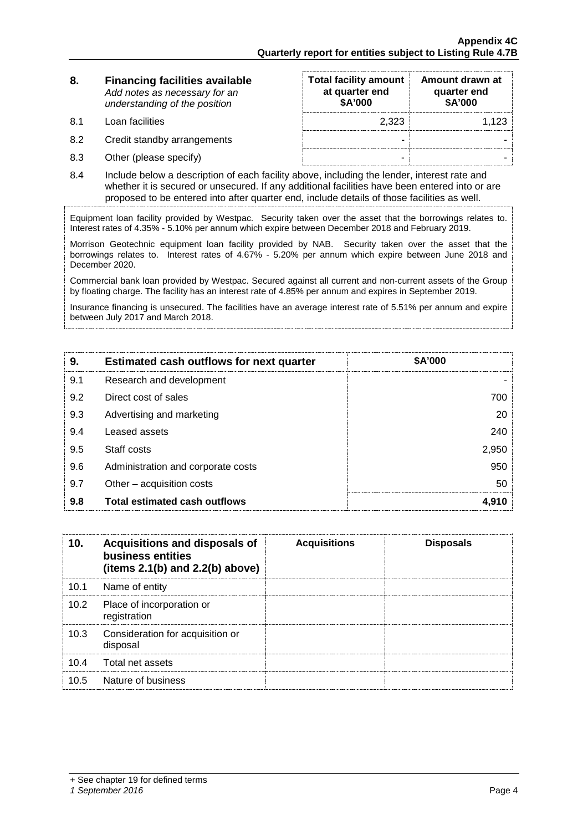| 8. | <b>Financing facilities available</b> |
|----|---------------------------------------|
|    | Add notes as necessary for an         |
|    | understanding of the position         |

- 8.1 Loan facilities
- 8.2 Credit standby arrangements
- 8.3 Other (please specify)

| <b>Total facility amount</b><br>at quarter end<br>\$A'000 | Amount drawn at<br>quarter end<br>\$A'000 |
|-----------------------------------------------------------|-------------------------------------------|
| 2,323                                                     | 1,123                                     |
|                                                           |                                           |
|                                                           |                                           |

8.4 Include below a description of each facility above, including the lender, interest rate and whether it is secured or unsecured. If any additional facilities have been entered into or are proposed to be entered into after quarter end, include details of those facilities as well.

Equipment loan facility provided by Westpac. Security taken over the asset that the borrowings relates to. Interest rates of 4.35% - 5.10% per annum which expire between December 2018 and February 2019.

Morrison Geotechnic equipment loan facility provided by NAB. Security taken over the asset that the borrowings relates to. Interest rates of 4.67% - 5.20% per annum which expire between June 2018 and December 2020.

Commercial bank loan provided by Westpac. Secured against all current and non-current assets of the Group by floating charge. The facility has an interest rate of 4.85% per annum and expires in September 2019.

Insurance financing is unsecured. The facilities have an average interest rate of 5.51% per annum and expire between July 2017 and March 2018.

| 9.  | <b>Estimated cash outflows for next quarter</b> | \$A'000 |
|-----|-------------------------------------------------|---------|
| 9.1 | Research and development                        |         |
| 9.2 | Direct cost of sales                            | 700     |
| 9.3 | Advertising and marketing                       | 20      |
| 9.4 | Leased assets                                   | 240     |
| 9.5 | Staff costs                                     | 2,950   |
| 9.6 | Administration and corporate costs              | 950     |
| 9.7 | Other – acquisition costs                       | 50      |
| 9.8 | Total estimated cash outflows                   |         |

| 10.               | Acquisitions and disposals of<br>business entities<br>(items $2.1(b)$ and $2.2(b)$ above) | <b>Acquisitions</b> | <b>Disposals</b> |
|-------------------|-------------------------------------------------------------------------------------------|---------------------|------------------|
| 10.1              | Name of entity                                                                            |                     |                  |
| 10.2 <sub>1</sub> | Place of incorporation or<br>registration                                                 |                     |                  |
| 10.3              | Consideration for acquisition or<br>disposal                                              |                     |                  |
| 10.4              | Total net assets                                                                          |                     |                  |
| 10.5              | Nature of business                                                                        |                     |                  |